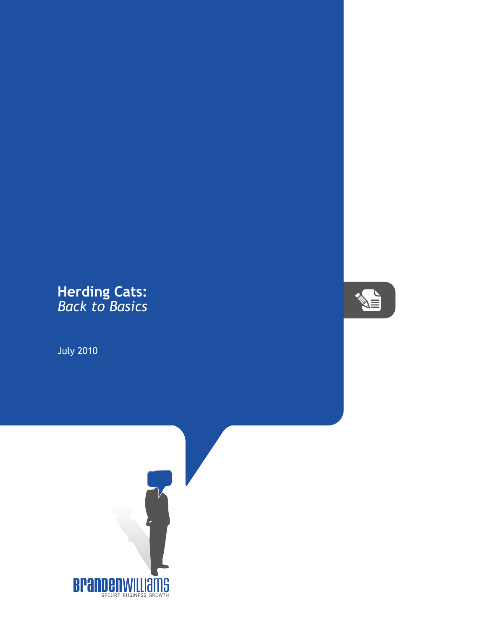## **Herding Cats:** *Back to Basics*

July 2010



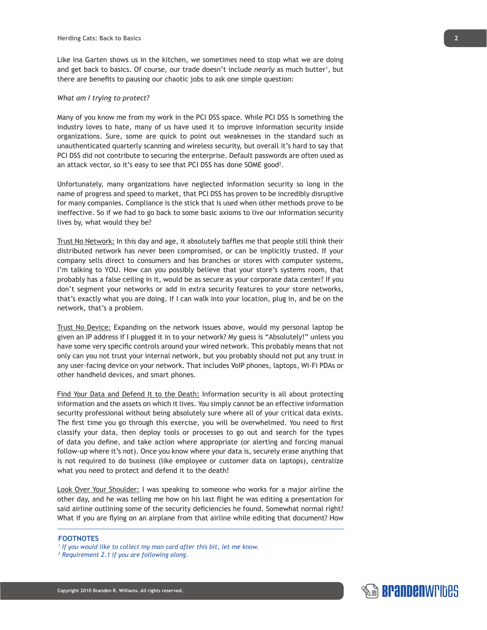Like Ina Garten shows us in the kitchen, we sometimes need to stop what we are doing and get back to basics. Of course, our trade doesn't include *nearly* as much butter<sup>1</sup>, but there are benefits to pausing our chaotic jobs to ask one simple question:

## *What am I trying to protect?*

Many of you know me from my work in the PCI DSS space. While PCI DSS is something the industry loves to hate, many of us have used it to improve information security inside organizations. Sure, some are quick to point out weaknesses in the standard such as unauthenticated quarterly scanning and wireless security, but overall it's hard to say that PCI DSS did not contribute to securing the enterprise. Default passwords are often used as an attack vector, so it's easy to see that PCI DSS has done SOME good<sup>2</sup>.

Unfortunately, many organizations have neglected information security so long in the name of progress and speed to market, that PCI DSS has proven to be incredibly disruptive for many companies. Compliance is the stick that is used when other methods prove to be ineffective. So if we had to go back to some basic axioms to live our information security lives by, what would they be?

Trust No Network: In this day and age, it absolutely baffles me that people still think their distributed network has never been compromised, or can be implicitly trusted. If your company sells direct to consumers and has branches or stores with computer systems, I'm talking to YOU. How can you possibly believe that your store's systems room, that probably has a false ceiling in it, would be as secure as your corporate data center? If you don't segment your networks or add in extra security features to your store networks, that's exactly what you are doing. If I can walk into your location, plug in, and be on the network, that's a problem.

Trust No Device: Expanding on the network issues above, would my personal laptop be given an IP address if I plugged it in to your network? My guess is "Absolutely!" unless you have some very specific controls around your wired network. This probably means that not only can you not trust your internal network, but you probably should not put any trust in any user-facing device on your network. That includes VoIP phones, laptops, Wi-Fi PDAs or other handheld devices, and smart phones.

Find Your Data and Defend It to the Death: Information security is all about protecting information and the assets on which it lives. You simply cannot be an effective information security professional without being absolutely sure where all of your critical data exists. The first time you go through this exercise, you will be overwhelmed. You need to first classify your data, then deploy tools or processes to go out and search for the types of data you define, and take action where appropriate (or alerting and forcing manual follow-up where it's not). Once you know where your data is, securely erase anything that is not required to do business (like employee or customer data on laptops), centralize what you need to protect and defend it to the death!

Look Over Your Shoulder: I was speaking to someone who works for a major airline the other day, and he was telling me how on his last flight he was editing a presentation for said airline outlining some of the security deficiencies he found. Somewhat normal right? What if you are flying on an airplane from that airline while editing that document? How

## **FOOTNOTES**

*2 Requirement 2.1 if you are following along.*



*<sup>1</sup> If you would like to collect my man card after this bit, let me know.*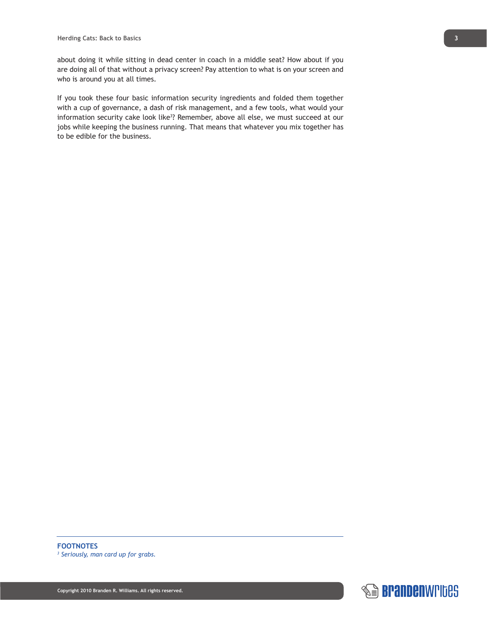about doing it while sitting in dead center in coach in a middle seat? How about if you are doing all of that without a privacy screen? Pay attention to what is on your screen and who is around you at all times.

If you took these four basic information security ingredients and folded them together with a cup of governance, a dash of risk management, and a few tools, what would your information security cake look like<sup>3</sup>? Remember, above all else, we must succeed at our jobs while keeping the business running. That means that whatever you mix together has to be edible for the business.